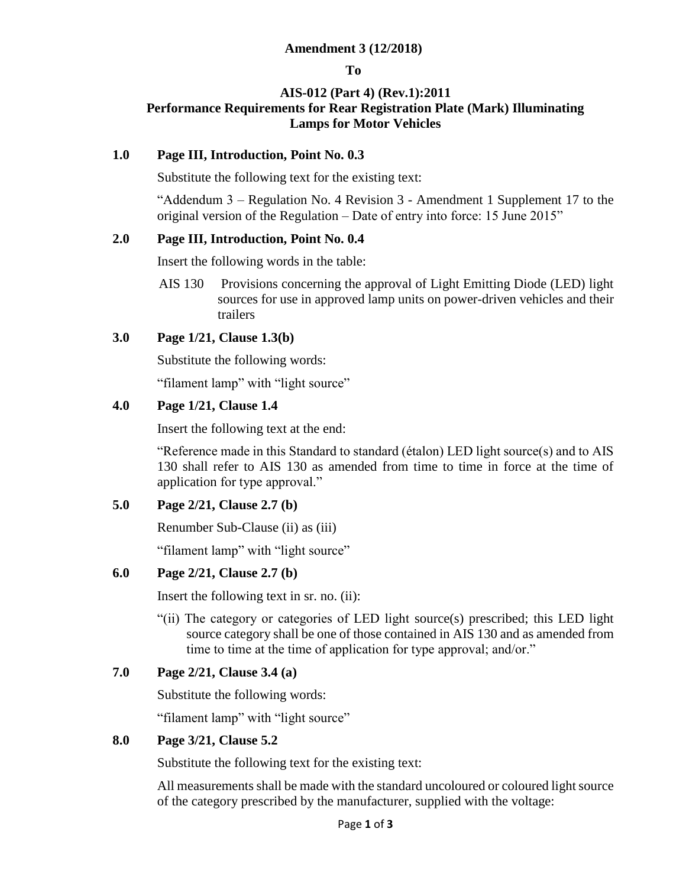# **Amendment 3 (12/2018)**

#### **To**

# **AIS-012 (Part 4) (Rev.1):2011 Performance Requirements for Rear Registration Plate (Mark) Illuminating Lamps for Motor Vehicles**

# **1.0 Page III, Introduction, Point No. 0.3**

Substitute the following text for the existing text:

"Addendum 3 – Regulation No. 4 Revision 3 - Amendment 1 Supplement 17 to the original version of the Regulation – Date of entry into force: 15 June 2015"

# **2.0 Page III, Introduction, Point No. 0.4**

Insert the following words in the table:

AIS 130 Provisions concerning the approval of Light Emitting Diode (LED) light sources for use in approved lamp units on power-driven vehicles and their trailers

# **3.0 Page 1/21, Clause 1.3(b)**

Substitute the following words:

"filament lamp" with "light source"

# **4.0 Page 1/21, Clause 1.4**

Insert the following text at the end:

"Reference made in this Standard to standard (étalon) LED light source(s) and to AIS 130 shall refer to AIS 130 as amended from time to time in force at the time of application for type approval."

# **5.0 Page 2/21, Clause 2.7 (b)**

Renumber Sub-Clause (ii) as (iii)

"filament lamp" with "light source"

# **6.0 Page 2/21, Clause 2.7 (b)**

Insert the following text in sr. no. (ii):

"(ii) The category or categories of LED light source(s) prescribed; this LED light source category shall be one of those contained in AIS 130 and as amended from time to time at the time of application for type approval; and/or."

# **7.0 Page 2/21, Clause 3.4 (a)**

Substitute the following words:

"filament lamp" with "light source"

# **8.0 Page 3/21, Clause 5.2**

Substitute the following text for the existing text:

All measurements shall be made with the standard uncoloured or coloured light source of the category prescribed by the manufacturer, supplied with the voltage: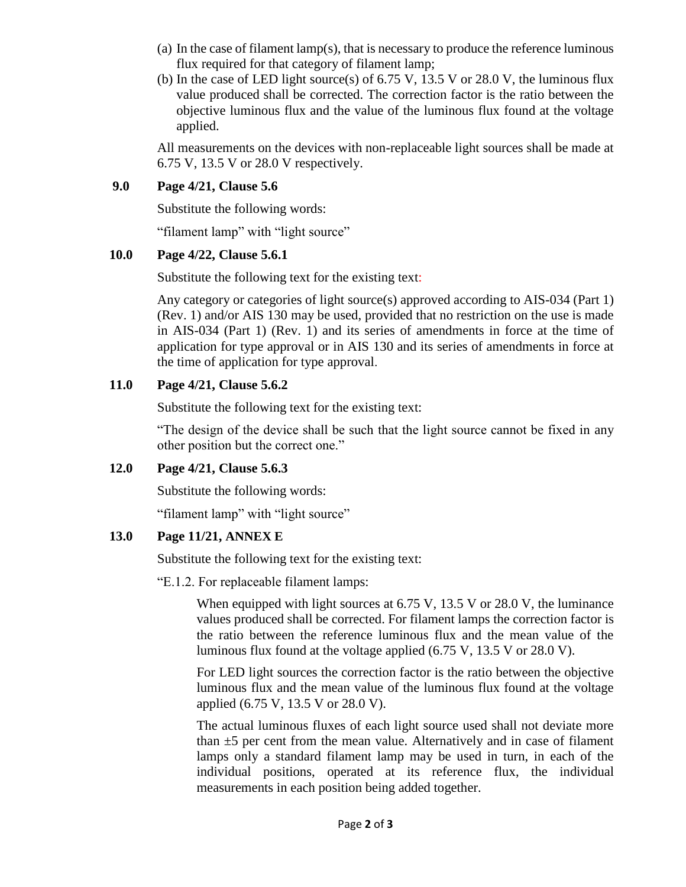- (a) In the case of filament lamp(s), that is necessary to produce the reference luminous flux required for that category of filament lamp;
- (b) In the case of LED light source(s) of  $6.75$  V,  $13.5$  V or  $28.0$  V, the luminous flux value produced shall be corrected. The correction factor is the ratio between the objective luminous flux and the value of the luminous flux found at the voltage applied.

All measurements on the devices with non-replaceable light sources shall be made at 6.75 V, 13.5 V or 28.0 V respectively.

# **9.0 Page 4/21, Clause 5.6**

Substitute the following words:

"filament lamp" with "light source"

# **10.0 Page 4/22, Clause 5.6.1**

Substitute the following text for the existing text:

Any category or categories of light source(s) approved according to AIS-034 (Part 1) (Rev. 1) and/or AIS 130 may be used, provided that no restriction on the use is made in AIS-034 (Part 1) (Rev. 1) and its series of amendments in force at the time of application for type approval or in AIS 130 and its series of amendments in force at the time of application for type approval.

# **11.0 Page 4/21, Clause 5.6.2**

Substitute the following text for the existing text:

"The design of the device shall be such that the light source cannot be fixed in any other position but the correct one."

# **12.0 Page 4/21, Clause 5.6.3**

Substitute the following words:

"filament lamp" with "light source"

# **13.0 Page 11/21, ANNEX E**

Substitute the following text for the existing text:

"E.1.2. For replaceable filament lamps:

When equipped with light sources at  $6.75$  V,  $13.5$  V or  $28.0$  V, the luminance values produced shall be corrected. For filament lamps the correction factor is the ratio between the reference luminous flux and the mean value of the luminous flux found at the voltage applied (6.75 V, 13.5 V or 28.0 V).

For LED light sources the correction factor is the ratio between the objective luminous flux and the mean value of the luminous flux found at the voltage applied (6.75 V, 13.5 V or 28.0 V).

The actual luminous fluxes of each light source used shall not deviate more than  $\pm$ 5 per cent from the mean value. Alternatively and in case of filament lamps only a standard filament lamp may be used in turn, in each of the individual positions, operated at its reference flux, the individual measurements in each position being added together.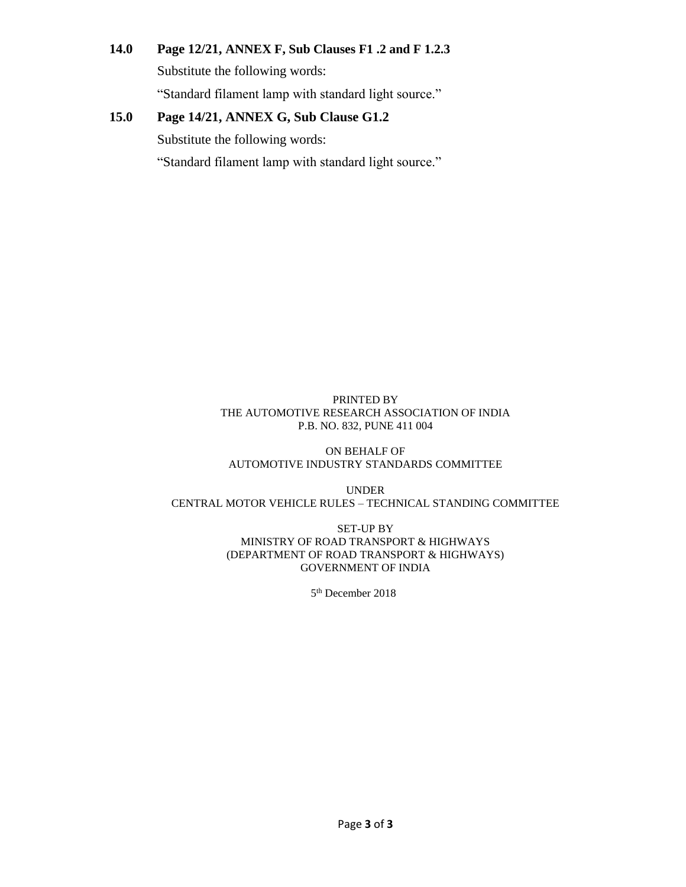# **14.0 Page 12/21, ANNEX F, Sub Clauses F1 .2 and F 1.2.3**

Substitute the following words:

"Standard filament lamp with standard light source."

# **15.0 Page 14/21, ANNEX G, Sub Clause G1.2**

Substitute the following words:

"Standard filament lamp with standard light source."

#### PRINTED BY THE AUTOMOTIVE RESEARCH ASSOCIATION OF INDIA P.B. NO. 832, PUNE 411 004

ON BEHALF OF AUTOMOTIVE INDUSTRY STANDARDS COMMITTEE

UNDER CENTRAL MOTOR VEHICLE RULES – TECHNICAL STANDING COMMITTEE

> SET-UP BY MINISTRY OF ROAD TRANSPORT & HIGHWAYS (DEPARTMENT OF ROAD TRANSPORT & HIGHWAYS) GOVERNMENT OF INDIA

> > 5<sup>th</sup> December 2018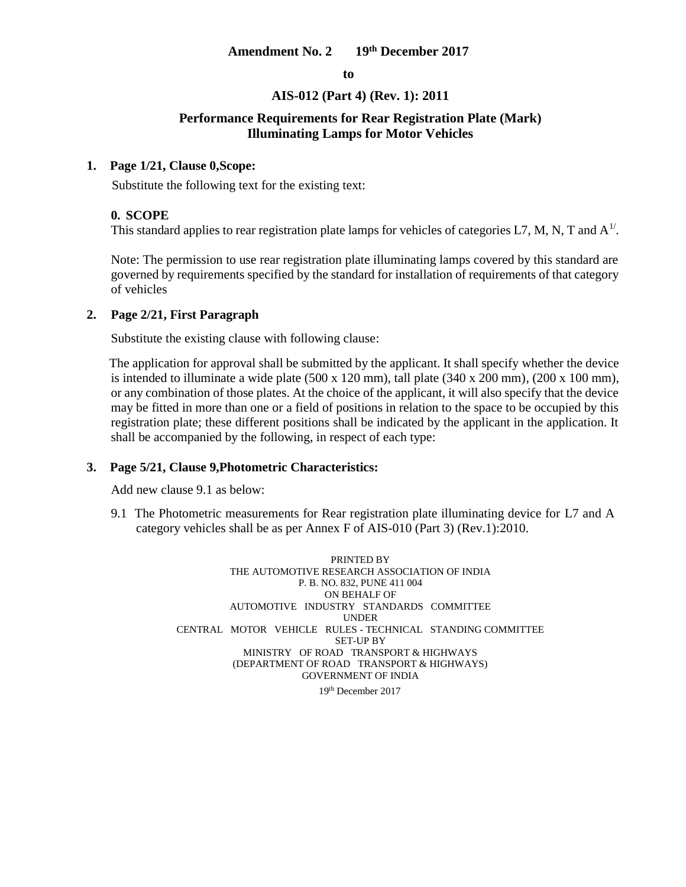# **Amendment No. 2 19th December 2017**

**to**

#### **AIS-012 (Part 4) (Rev. 1): 2011**

#### **Performance Requirements for Rear Registration Plate (Mark) Illuminating Lamps for Motor Vehicles**

#### **1. Page 1/21, Clause 0,Scope:**

Substitute the following text for the existing text:

#### **0. SCOPE**

This standard applies to rear registration plate lamps for vehicles of categories L7, M, N, T and  $A<sup>1/</sup>$ .

Note: The permission to use rear registration plate illuminating lamps covered by this standard are governed by requirements specified by the standard for installation of requirements of that category of vehicles

#### **2. Page 2/21, First Paragraph**

Substitute the existing clause with following clause:

 The application for approval shall be submitted by the applicant. It shall specify whether the device is intended to illuminate a wide plate  $(500 \times 120 \text{ mm})$ , tall plate  $(340 \times 200 \text{ mm})$ ,  $(200 \times 100 \text{ mm})$ , or any combination of those plates. At the choice of the applicant, it will also specify that the device may be fitted in more than one or a field of positions in relation to the space to be occupied by this registration plate; these different positions shall be indicated by the applicant in the application. It shall be accompanied by the following, in respect of each type:

#### **3. Page 5/21, Clause 9,Photometric Characteristics:**

Add new clause 9.1 as below:

9.1 The Photometric measurements for Rear registration plate illuminating device for L7 and A category vehicles shall be as per Annex F of AIS-010 (Part 3) (Rev.1):2010.

> PRINTED BY THE AUTOMOTIVE RESEARCH ASSOCIATION OF INDIA P. B. NO. 832, PUNE 411 004 ON BEHALF OF AUTOMOTIVE INDUSTRY STANDARDS COMMITTEE UNDER CENTRAL MOTOR VEHICLE RULES - TECHNICAL STANDING COMMITTEE SET-UP BY MINISTRY OF ROAD TRANSPORT & HIGHWAYS (DEPARTMENT OF ROAD TRANSPORT & HIGHWAYS) GOVERNMENT OF INDIA

19th December 2017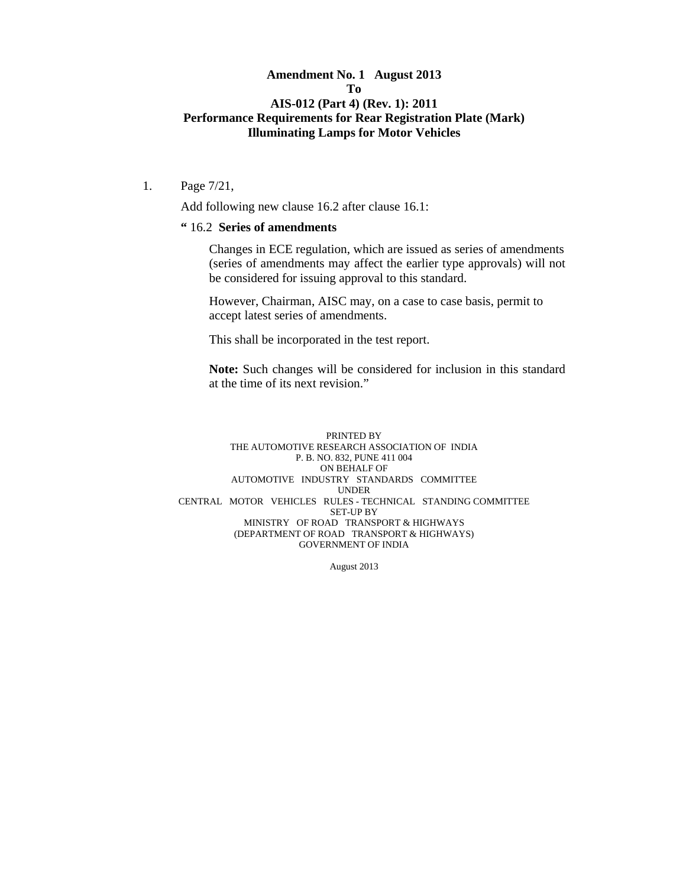# **Amendment No. 1 August 2013 To AIS-012 (Part 4) (Rev. 1): 2011 Performance Requirements for Rear Registration Plate (Mark) Illuminating Lamps for Motor Vehicles**

1. Page 7/21,

Add following new clause 16.2 after clause 16.1:

#### **"** 16.2 **Series of amendments**

Changes in ECE regulation, which are issued as series of amendments (series of amendments may affect the earlier type approvals) will not be considered for issuing approval to this standard.

However, Chairman, AISC may, on a case to case basis, permit to accept latest series of amendments.

This shall be incorporated in the test report.

**Note:** Such changes will be considered for inclusion in this standard at the time of its next revision."

#### PRINTED BY THE AUTOMOTIVE RESEARCH ASSOCIATION OF INDIA P. B. NO. 832, PUNE 411 004 ON BEHALF OF AUTOMOTIVE INDUSTRY STANDARDS COMMITTEE UNDER CENTRAL MOTOR VEHICLES RULES - TECHNICAL STANDING COMMITTEE SET-UP BY MINISTRY OF ROAD TRANSPORT & HIGHWAYS (DEPARTMENT OF ROAD TRANSPORT & HIGHWAYS) GOVERNMENT OF INDIA

August 2013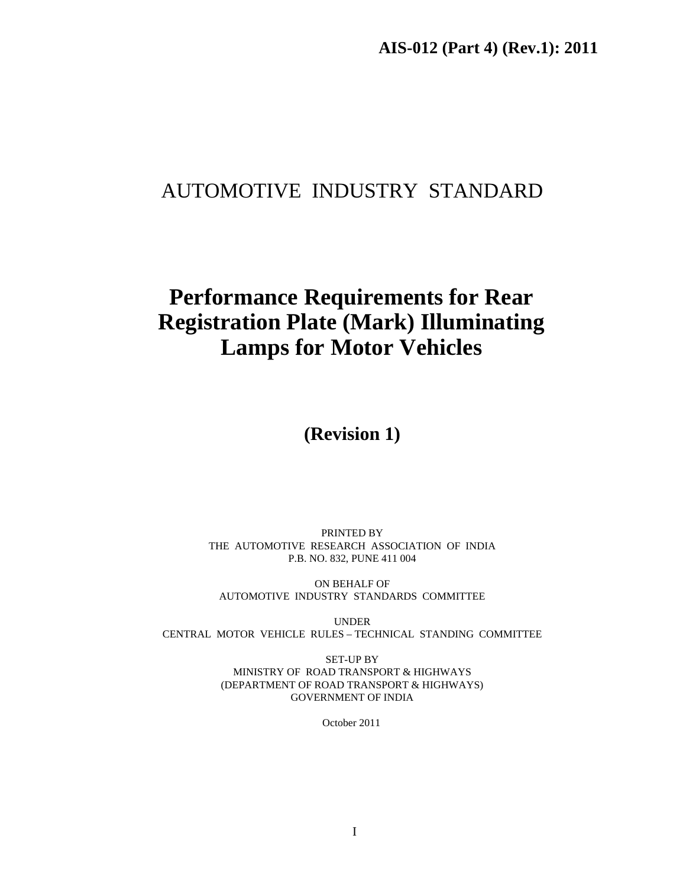# AUTOMOTIVE INDUSTRY STANDARD

# **Performance Requirements for Rear Registration Plate (Mark) Illuminating Lamps for Motor Vehicles**

**(Revision 1)** 

PRINTED BY THE AUTOMOTIVE RESEARCH ASSOCIATION OF INDIA P.B. NO. 832, PUNE 411 004

ON BEHALF OF AUTOMOTIVE INDUSTRY STANDARDS COMMITTEE

UNDER CENTRAL MOTOR VEHICLE RULES – TECHNICAL STANDING COMMITTEE

> SET-UP BY MINISTRY OF ROAD TRANSPORT & HIGHWAYS (DEPARTMENT OF ROAD TRANSPORT & HIGHWAYS) GOVERNMENT OF INDIA

> > October 2011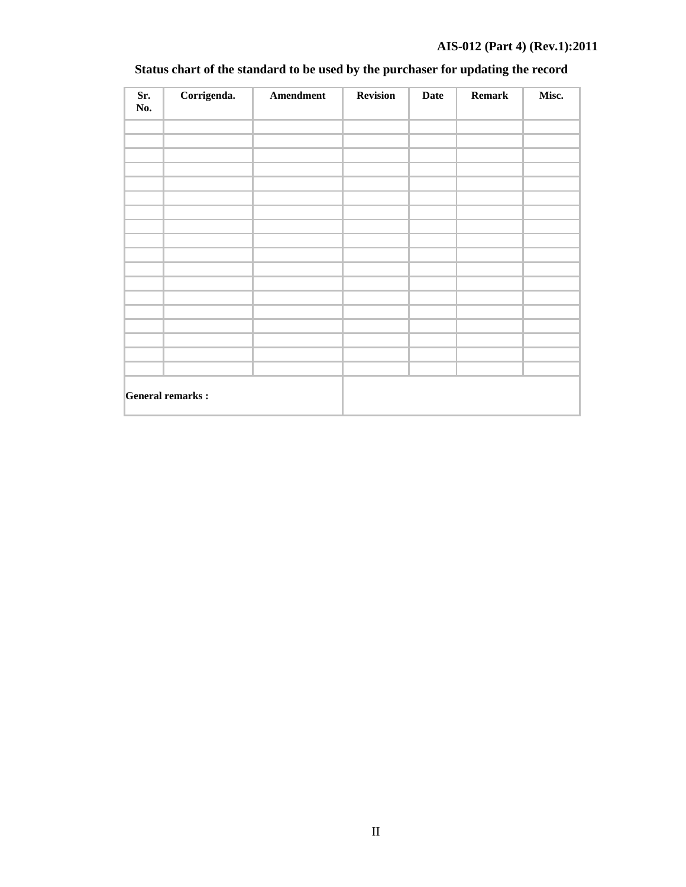# **AIS-012 (Part 4) (Rev.1):2011**

| Sr.<br>No. | Corrigenda.             | Amendment | <b>Revision</b> | <b>Date</b> | <b>Remark</b> | Misc. |
|------------|-------------------------|-----------|-----------------|-------------|---------------|-------|
|            |                         |           |                 |             |               |       |
|            |                         |           |                 |             |               |       |
|            |                         |           |                 |             |               |       |
|            |                         |           |                 |             |               |       |
|            |                         |           |                 |             |               |       |
|            |                         |           |                 |             |               |       |
|            |                         |           |                 |             |               |       |
|            |                         |           |                 |             |               |       |
|            |                         |           |                 |             |               |       |
|            |                         |           |                 |             |               |       |
|            |                         |           |                 |             |               |       |
|            |                         |           |                 |             |               |       |
|            |                         |           |                 |             |               |       |
|            |                         |           |                 |             |               |       |
|            |                         |           |                 |             |               |       |
|            |                         |           |                 |             |               |       |
|            |                         |           |                 |             |               |       |
|            |                         |           |                 |             |               |       |
|            | <b>General remarks:</b> |           |                 |             |               |       |

# **Status chart of the standard to be used by the purchaser for updating the record**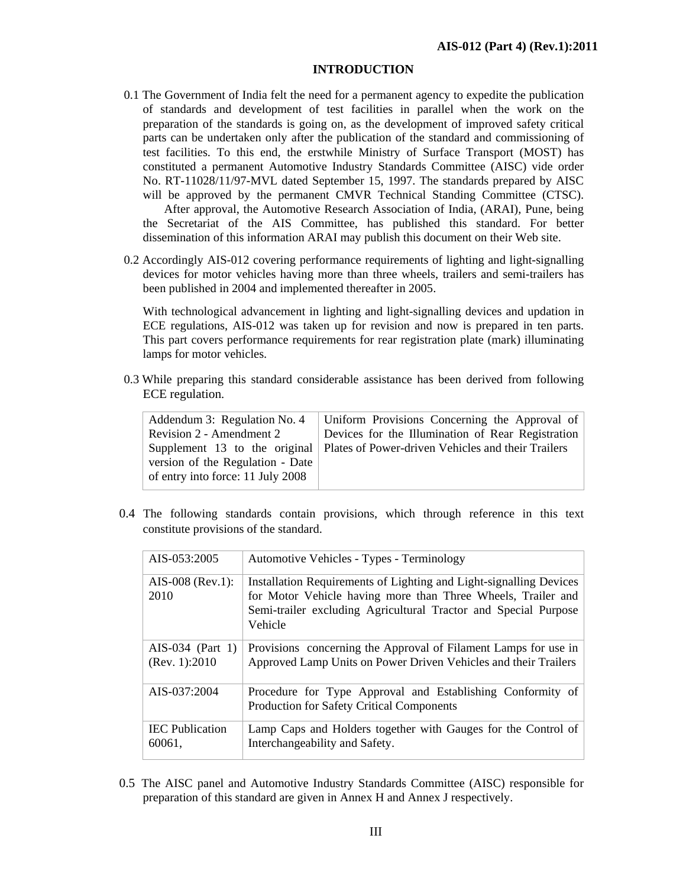#### **INTRODUCTION**

- 0.1 The Government of India felt the need for a permanent agency to expedite the publication of standards and development of test facilities in parallel when the work on the preparation of the standards is going on, as the development of improved safety critical parts can be undertaken only after the publication of the standard and commissioning of test facilities. To this end, the erstwhile Ministry of Surface Transport (MOST) has constituted a permanent Automotive Industry Standards Committee (AISC) vide order No. RT-11028/11/97-MVL dated September 15, 1997. The standards prepared by AISC will be approved by the permanent CMVR Technical Standing Committee (CTSC). After approval, the Automotive Research Association of India, (ARAI), Pune, being the Secretariat of the AIS Committee, has published this standard. For better dissemination of this information ARAI may publish this document on their Web site.
- 0.2 Accordingly AIS-012 covering performance requirements of lighting and light-signalling devices for motor vehicles having more than three wheels, trailers and semi-trailers has been published in 2004 and implemented thereafter in 2005.

With technological advancement in lighting and light-signalling devices and updation in ECE regulations, AIS-012 was taken up for revision and now is prepared in ten parts. This part covers performance requirements for rear registration plate (mark) illuminating lamps for motor vehicles.

0.3 While preparing this standard considerable assistance has been derived from following ECE regulation.

| Addendum 3: Regulation No. 4      | Uniform Provisions Concerning the Approval of                                    |
|-----------------------------------|----------------------------------------------------------------------------------|
| Revision 2 - Amendment 2          | Devices for the Illumination of Rear Registration                                |
|                                   | Supplement 13 to the original Plates of Power-driven Vehicles and their Trailers |
| version of the Regulation - Date  |                                                                                  |
| of entry into force: 11 July 2008 |                                                                                  |
|                                   |                                                                                  |

0.4 The following standards contain provisions, which through reference in this text constitute provisions of the standard.

| AIS-053:2005                       | Automotive Vehicles - Types - Terminology                                                                                                                                                                        |
|------------------------------------|------------------------------------------------------------------------------------------------------------------------------------------------------------------------------------------------------------------|
| $AIS-008$ (Rev.1):<br>2010         | Installation Requirements of Lighting and Light-signalling Devices<br>for Motor Vehicle having more than Three Wheels, Trailer and<br>Semi-trailer excluding Agricultural Tractor and Special Purpose<br>Vehicle |
| AIS-034 (Part 1)<br>(Rev. 1): 2010 | Provisions concerning the Approval of Filament Lamps for use in<br>Approved Lamp Units on Power Driven Vehicles and their Trailers                                                                               |
| AIS-037:2004                       | Procedure for Type Approval and Establishing Conformity of<br><b>Production for Safety Critical Components</b>                                                                                                   |
| <b>IEC</b> Publication<br>60061,   | Lamp Caps and Holders together with Gauges for the Control of<br>Interchangeability and Safety.                                                                                                                  |

0.5 The AISC panel and Automotive Industry Standards Committee (AISC) responsible for preparation of this standard are given in Annex H and Annex J respectively.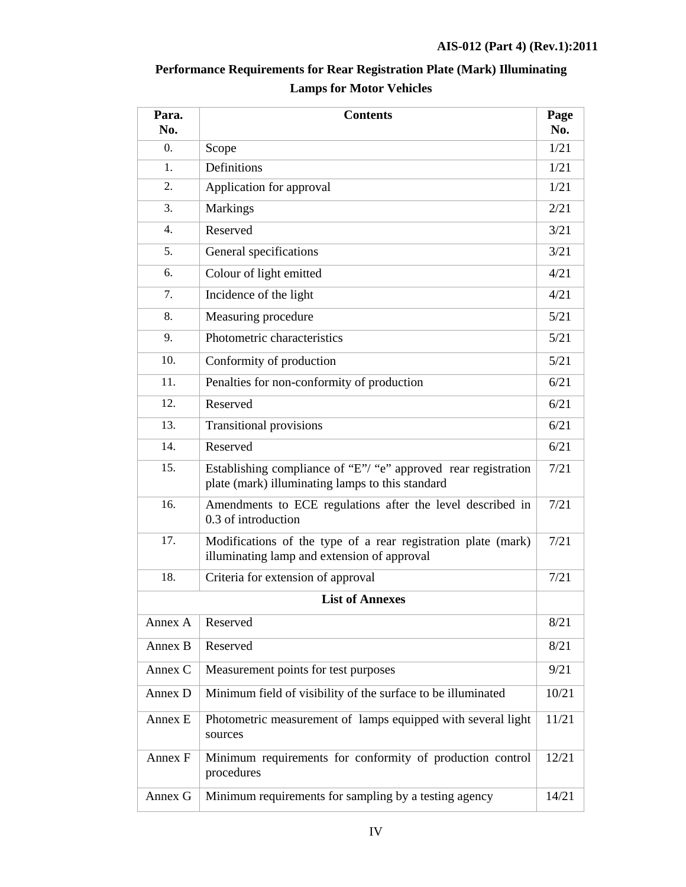| Para.<br>No.     | <b>Contents</b>                                                                                                    |       |  |
|------------------|--------------------------------------------------------------------------------------------------------------------|-------|--|
| $\overline{0}$ . | Scope                                                                                                              | 1/21  |  |
| 1.               | Definitions                                                                                                        | 1/21  |  |
| 2.               | Application for approval                                                                                           | 1/21  |  |
| 3.               | Markings                                                                                                           | 2/21  |  |
| $\overline{4}$ . | Reserved                                                                                                           | 3/21  |  |
| 5.               | General specifications                                                                                             | 3/21  |  |
| 6.               | Colour of light emitted                                                                                            | 4/21  |  |
| 7.               | Incidence of the light                                                                                             | 4/21  |  |
| 8.               | Measuring procedure                                                                                                | 5/21  |  |
| 9.               | Photometric characteristics                                                                                        | 5/21  |  |
| 10.              | Conformity of production                                                                                           | 5/21  |  |
| 11.              | Penalties for non-conformity of production                                                                         | 6/21  |  |
| 12.              | Reserved                                                                                                           | 6/21  |  |
| 13.              | <b>Transitional provisions</b>                                                                                     | 6/21  |  |
| 14.              | Reserved                                                                                                           | 6/21  |  |
| 15.              | Establishing compliance of "E"/ "e" approved rear registration<br>plate (mark) illuminating lamps to this standard | 7/21  |  |
| 16.              | Amendments to ECE regulations after the level described in<br>0.3 of introduction                                  | 7/21  |  |
| 17.              | Modifications of the type of a rear registration plate (mark)<br>illuminating lamp and extension of approval       | 7/21  |  |
| 18.              | Criteria for extension of approval                                                                                 | 7/21  |  |
|                  | <b>List of Annexes</b>                                                                                             |       |  |
| Annex A          | Reserved                                                                                                           | 8/21  |  |
| Annex B          | Reserved                                                                                                           | 8/21  |  |
| Annex C          | Measurement points for test purposes                                                                               | 9/21  |  |
| Annex D          | Minimum field of visibility of the surface to be illuminated                                                       | 10/21 |  |
| Annex E          | Photometric measurement of lamps equipped with several light<br>sources                                            | 11/21 |  |
| Annex F          | Minimum requirements for conformity of production control<br>procedures                                            | 12/21 |  |
| Annex G          | Minimum requirements for sampling by a testing agency                                                              | 14/21 |  |

# **Performance Requirements for Rear Registration Plate (Mark) Illuminating Lamps for Motor Vehicles**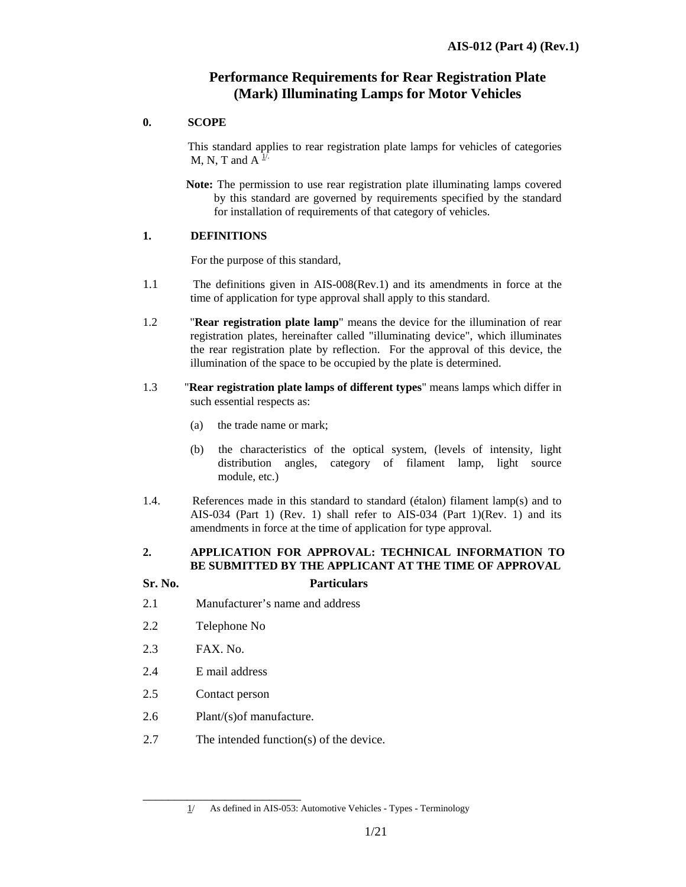# **Performance Requirements for Rear Registration Plate (Mark) Illuminating Lamps for Motor Vehicles**

#### **0. SCOPE**

This standard applies to rear registration plate lamps for vehicles of categories M, N, T and A  $\frac{1}{1}$ .

 **Note:** The permission to use rear registration plate illuminating lamps covered by this standard are governed by requirements specified by the standard for installation of requirements of that category of vehicles.

#### **1. DEFINITIONS**

For the purpose of this standard,

- 1.1 The definitions given in AIS-008(Rev.1) and its amendments in force at the time of application for type approval shall apply to this standard.
- 1.2 "**Rear registration plate lamp**" means the device for the illumination of rear registration plates, hereinafter called "illuminating device", which illuminates the rear registration plate by reflection. For the approval of this device, the illumination of the space to be occupied by the plate is determined.
- 1.3 "**Rear registration plate lamps of different types**" means lamps which differ in such essential respects as:
	- (a) the trade name or mark;
	- (b) the characteristics of the optical system, (levels of intensity, light distribution angles, category of filament lamp, light source module, etc.)
- 1.4. References made in this standard to standard (étalon) filament lamp(s) and to AIS-034 (Part 1) (Rev. 1) shall refer to AIS-034 (Part 1)(Rev. 1) and its amendments in force at the time of application for type approval.

# **2. APPLICATION FOR APPROVAL: TECHNICAL INFORMATION TO BE SUBMITTED BY THE APPLICANT AT THE TIME OF APPROVAL**

#### **Sr. No. Particulars**

- 2.1 Manufacturer's name and address
- 2.2 Telephone No
- 2.3 FAX. No.
- 2.4 E mail address
- 2.5 Contact person
- 2.6 Plant/(s)of manufacture.

\_\_\_\_\_\_\_\_\_\_\_\_\_\_\_\_\_\_\_\_\_\_\_\_\_

2.7 The intended function(s) of the device.

 $1/$  As defined in AIS-053: Automotive Vehicles - Types - Terminology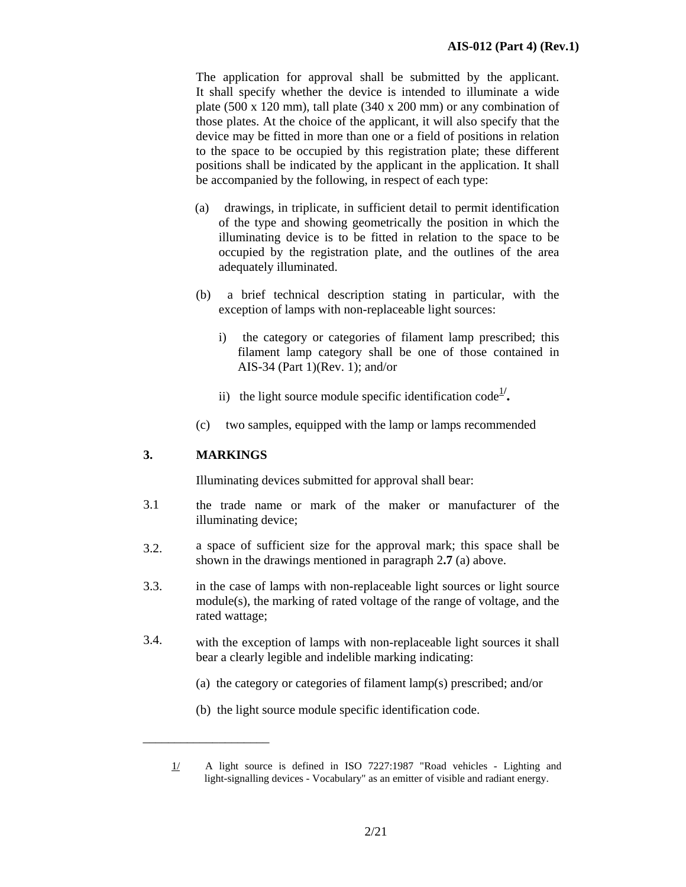The application for approval shall be submitted by the applicant. It shall specify whether the device is intended to illuminate a wide plate (500 x 120 mm), tall plate (340 x 200 mm) or any combination of those plates. At the choice of the applicant, it will also specify that the device may be fitted in more than one or a field of positions in relation to the space to be occupied by this registration plate; these different positions shall be indicated by the applicant in the application. It shall be accompanied by the following, in respect of each type:

- (a) drawings, in triplicate, in sufficient detail to permit identification of the type and showing geometrically the position in which the illuminating device is to be fitted in relation to the space to be occupied by the registration plate, and the outlines of the area adequately illuminated.
- (b) a brief technical description stating in particular, with the exception of lamps with non-replaceable light sources:
	- i) the category or categories of filament lamp prescribed; this filament lamp category shall be one of those contained in AIS-34 (Part 1)(Rev. 1); and/or
	- ii) the light source module specific identification code<sup> $1/$ </sup>.
- (c) two samples, equipped with the lamp or lamps recommended

#### **3. MARKINGS**

\_\_\_\_\_\_\_\_\_\_\_\_\_\_\_\_\_\_\_\_

Illuminating devices submitted for approval shall bear:

- 3.1 the trade name or mark of the maker or manufacturer of the illuminating device;
- 3.2. a space of sufficient size for the approval mark; this space shall be shown in the drawings mentioned in paragraph 2**.7** (a) above.
- 3.3. in the case of lamps with non-replaceable light sources or light source module(s), the marking of rated voltage of the range of voltage, and the rated wattage;
- 3.4. with the exception of lamps with non-replaceable light sources it shall bear a clearly legible and indelible marking indicating:
	- (a) the category or categories of filament lamp(s) prescribed; and/or
	- (b) the light source module specific identification code.

<sup>1/</sup> A light source is defined in ISO 7227:1987 "Road vehicles - Lighting and light-signalling devices - Vocabulary" as an emitter of visible and radiant energy.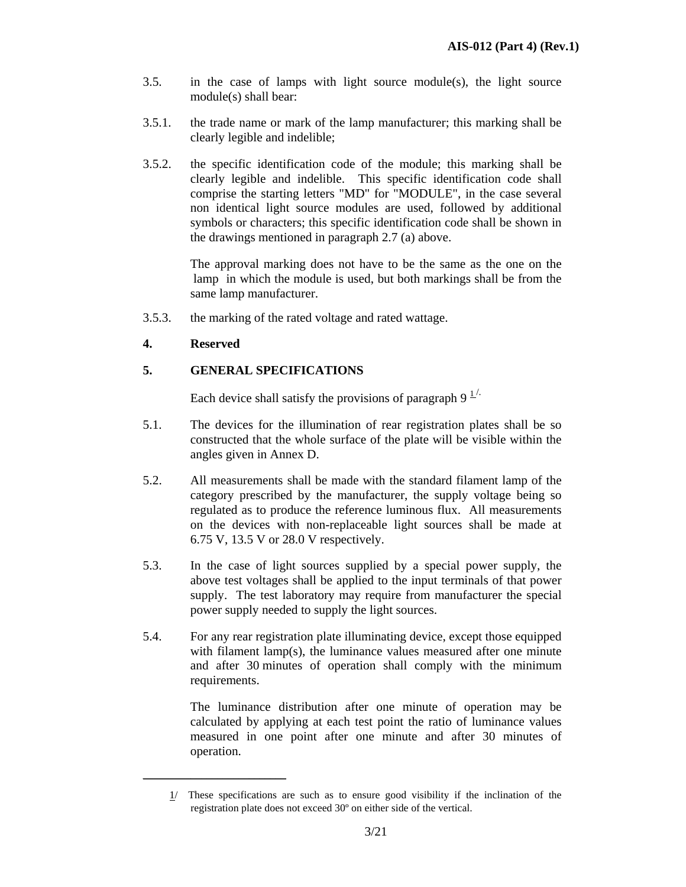- $3.5.$  in the case of lamps with light source module(s), the light source module(s) shall bear:
- 3.5.1. the trade name or mark of the lamp manufacturer; this marking shall be clearly legible and indelible;
- 3.5.2. the specific identification code of the module; this marking shall be clearly legible and indelible. This specific identification code shall comprise the starting letters "MD" for "MODULE", in the case several non identical light source modules are used, followed by additional symbols or characters; this specific identification code shall be shown in the drawings mentioned in paragraph 2.7 (a) above.

 The approval marking does not have to be the same as the one on the lamp in which the module is used, but both markings shall be from the same lamp manufacturer.

3.5.3. the marking of the rated voltage and rated wattage.

# **4. Reserved**

 $\mathcal{L}=\mathcal{L}^{\mathcal{L}}$  , where  $\mathcal{L}^{\mathcal{L}}$  , we have the set of the set of the set of the set of the set of the set of the set of the set of the set of the set of the set of the set of the set of the set of the set of

# **5. GENERAL SPECIFICATIONS**

Each device shall satisfy the provisions of paragraph  $9<sup>1/2</sup>$ .

- 5.1. The devices for the illumination of rear registration plates shall be so constructed that the whole surface of the plate will be visible within the angles given in Annex D.
- 5.2. All measurements shall be made with the standard filament lamp of the category prescribed by the manufacturer, the supply voltage being so regulated as to produce the reference luminous flux. All measurements on the devices with non-replaceable light sources shall be made at 6.75 V, 13.5 V or 28.0 V respectively.
- 5.3. In the case of light sources supplied by a special power supply, the above test voltages shall be applied to the input terminals of that power supply. The test laboratory may require from manufacturer the special power supply needed to supply the light sources.
- 5.4. For any rear registration plate illuminating device, except those equipped with filament lamp(s), the luminance values measured after one minute and after 30 minutes of operation shall comply with the minimum requirements.

 The luminance distribution after one minute of operation may be calculated by applying at each test point the ratio of luminance values measured in one point after one minute and after 30 minutes of operation.

 $1/$  These specifications are such as to ensure good visibility if the inclination of the registration plate does not exceed 30º on either side of the vertical.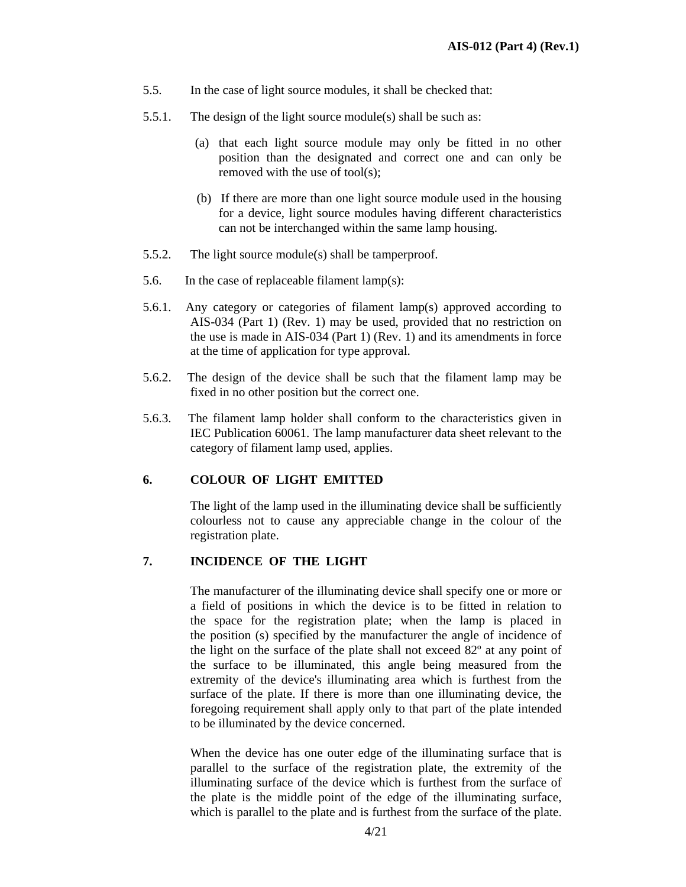- 5.5. In the case of light source modules, it shall be checked that:
- 5.5.1. The design of the light source module(s) shall be such as:
	- (a) that each light source module may only be fitted in no other position than the designated and correct one and can only be removed with the use of tool(s);
	- (b) If there are more than one light source module used in the housing for a device, light source modules having different characteristics can not be interchanged within the same lamp housing.
- 5.5.2. The light source module(s) shall be tamperproof.
- 5.6. In the case of replaceable filament lamp(s):
- 5.6.1. Any category or categories of filament lamp(s) approved according to AIS-034 (Part 1) (Rev. 1) may be used, provided that no restriction on the use is made in AIS-034 (Part 1) (Rev. 1) and its amendments in force at the time of application for type approval.
- 5.6.2. The design of the device shall be such that the filament lamp may be fixed in no other position but the correct one.
- 5.6.3. The filament lamp holder shall conform to the characteristics given in IEC Publication 60061. The lamp manufacturer data sheet relevant to the category of filament lamp used, applies.

#### **6. COLOUR OF LIGHT EMITTED**

 The light of the lamp used in the illuminating device shall be sufficiently colourless not to cause any appreciable change in the colour of the registration plate.

#### **7. INCIDENCE OF THE LIGHT**

 The manufacturer of the illuminating device shall specify one or more or a field of positions in which the device is to be fitted in relation to the space for the registration plate; when the lamp is placed in the position (s) specified by the manufacturer the angle of incidence of the light on the surface of the plate shall not exceed 82º at any point of the surface to be illuminated, this angle being measured from the extremity of the device's illuminating area which is furthest from the surface of the plate. If there is more than one illuminating device, the foregoing requirement shall apply only to that part of the plate intended to be illuminated by the device concerned.

 When the device has one outer edge of the illuminating surface that is parallel to the surface of the registration plate, the extremity of the illuminating surface of the device which is furthest from the surface of the plate is the middle point of the edge of the illuminating surface, which is parallel to the plate and is furthest from the surface of the plate.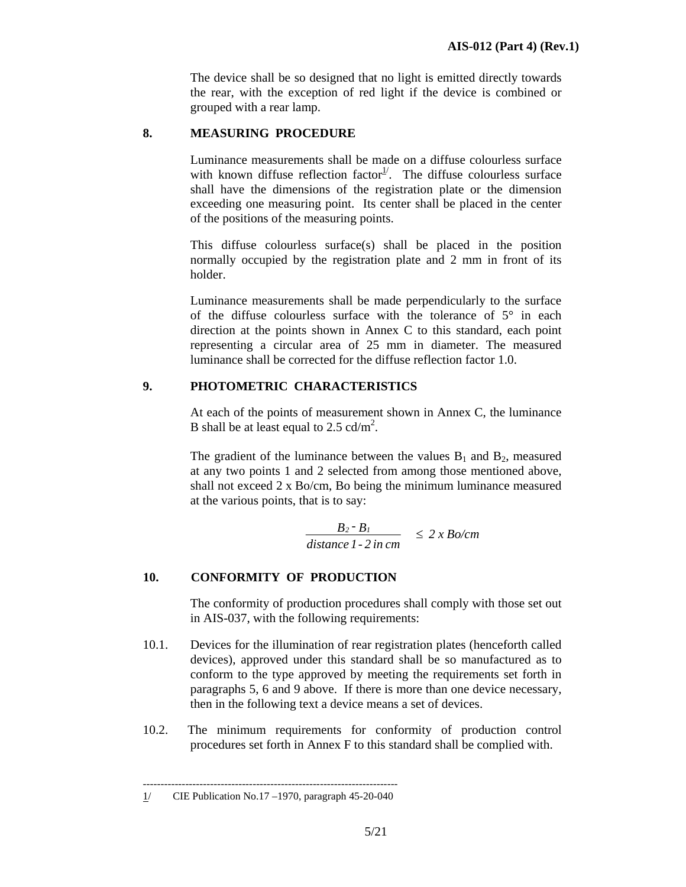The device shall be so designed that no light is emitted directly towards the rear, with the exception of red light if the device is combined or grouped with a rear lamp.

# **8. MEASURING PROCEDURE**

 Luminance measurements shall be made on a diffuse colourless surface with known diffuse reflection factor<sup>1/</sup>. The diffuse colourless surface shall have the dimensions of the registration plate or the dimension exceeding one measuring point. Its center shall be placed in the center of the positions of the measuring points.

 This diffuse colourless surface(s) shall be placed in the position normally occupied by the registration plate and 2 mm in front of its holder.

 Luminance measurements shall be made perpendicularly to the surface of the diffuse colourless surface with the tolerance of  $5^\circ$  in each direction at the points shown in Annex C to this standard, each point representing a circular area of 25 mm in diameter. The measured luminance shall be corrected for the diffuse reflection factor 1.0.

# **9. PHOTOMETRIC CHARACTERISTICS**

 At each of the points of measurement shown in Annex C, the luminance B shall be at least equal to 2.5 cd/m<sup>2</sup>.

The gradient of the luminance between the values  $B_1$  and  $B_2$ , measured at any two points 1 and 2 selected from among those mentioned above, shall not exceed 2 x Bo/cm, Bo being the minimum luminance measured at the various points, that is to say:

$$
\frac{B_2 - B_1}{distance \, 1 - 2 \, in \, cm} \leq 2 \, x \, Bo/cm
$$

# **10. CONFORMITY OF PRODUCTION**

 The conformity of production procedures shall comply with those set out in AIS-037, with the following requirements:

- 10.1. Devices for the illumination of rear registration plates (henceforth called devices), approved under this standard shall be so manufactured as to conform to the type approved by meeting the requirements set forth in paragraphs 5, 6 and 9 above. If there is more than one device necessary, then in the following text a device means a set of devices.
- 10.2. The minimum requirements for conformity of production control procedures set forth in Annex F to this standard shall be complied with.

<sup>------------------------------------------------------------------------</sup>  1/ CIE Publication No.17 –1970, paragraph 45-20-040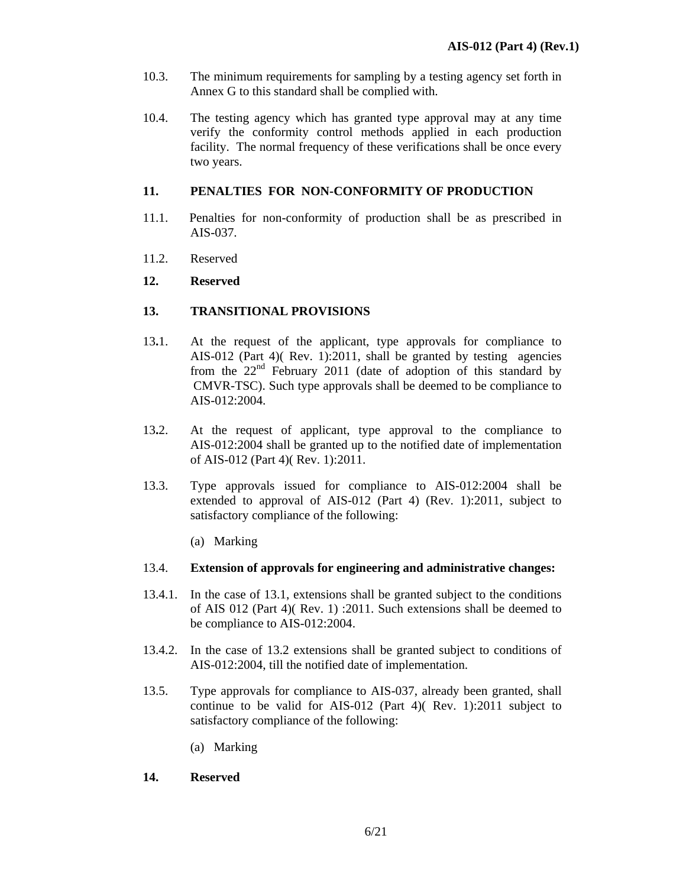- 10.3. The minimum requirements for sampling by a testing agency set forth in Annex G to this standard shall be complied with.
- 10.4. The testing agency which has granted type approval may at any time verify the conformity control methods applied in each production facility. The normal frequency of these verifications shall be once every two years.

# **11. PENALTIES FOR NON-CONFORMITY OF PRODUCTION**

- 11.1. Penalties for non-conformity of production shall be as prescribed in AIS-037.
- 11.2. Reserved
- **12. Reserved**

# **13. TRANSITIONAL PROVISIONS**

- 13**.**1. At the request of the applicant, type approvals for compliance to AIS-012 (Part 4)( Rev. 1):2011, shall be granted by testing agencies from the  $22<sup>nd</sup>$  February 2011 (date of adoption of this standard by CMVR-TSC). Such type approvals shall be deemed to be compliance to AIS-012:2004.
- 13**.**2. At the request of applicant, type approval to the compliance to AIS-012:2004 shall be granted up to the notified date of implementation of AIS-012 (Part 4)( Rev. 1):2011.
- 13.3. Type approvals issued for compliance to AIS-012:2004 shall be extended to approval of AIS-012 (Part 4) (Rev. 1):2011, subject to satisfactory compliance of the following:
	- (a) Marking

#### 13.4. **Extension of approvals for engineering and administrative changes:**

- 13.4.1. In the case of 13.1, extensions shall be granted subject to the conditions of AIS 012 (Part 4)( Rev. 1) :2011. Such extensions shall be deemed to be compliance to AIS-012:2004.
- 13.4.2. In the case of 13.2 extensions shall be granted subject to conditions of AIS-012:2004, till the notified date of implementation.
- 13.5. Type approvals for compliance to AIS-037, already been granted, shall continue to be valid for AIS-012 (Part 4)( Rev. 1):2011 subject to satisfactory compliance of the following:
	- (a) Marking

# **14. Reserved**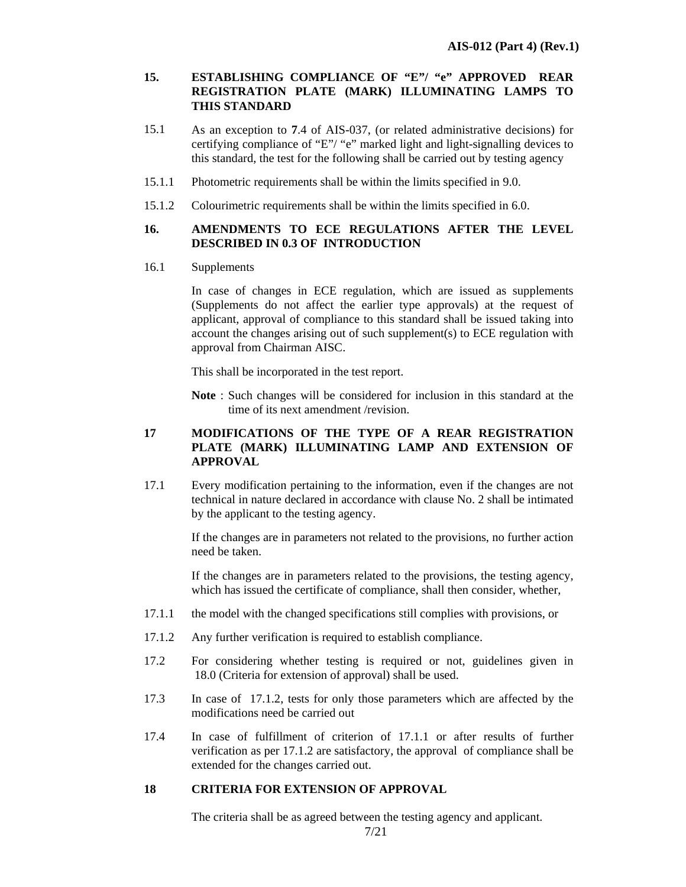#### **15. ESTABLISHING COMPLIANCE OF "E"/ "e" APPROVED REAR REGISTRATION PLATE (MARK) ILLUMINATING LAMPS TO THIS STANDARD**

- 15.1 As an exception to **7**.4 of AIS-037, (or related administrative decisions) for certifying compliance of "E"/ "e" marked light and light-signalling devices to this standard, the test for the following shall be carried out by testing agency
- 15.1.1 Photometric requirements shall be within the limits specified in 9.0.
- 15.1.2 Colourimetric requirements shall be within the limits specified in 6.0.

# **16. AMENDMENTS TO ECE REGULATIONS AFTER THE LEVEL DESCRIBED IN 0.3 OF INTRODUCTION**

16.1 Supplements

In case of changes in ECE regulation, which are issued as supplements (Supplements do not affect the earlier type approvals) at the request of applicant, approval of compliance to this standard shall be issued taking into account the changes arising out of such supplement(s) to ECE regulation with approval from Chairman AISC.

This shall be incorporated in the test report.

**Note** : Such changes will be considered for inclusion in this standard at the time of its next amendment /revision.

# **17 MODIFICATIONS OF THE TYPE OF A REAR REGISTRATION PLATE (MARK) ILLUMINATING LAMP AND EXTENSION OF APPROVAL**

17.1 Every modification pertaining to the information, even if the changes are not technical in nature declared in accordance with clause No. 2 shall be intimated by the applicant to the testing agency.

> If the changes are in parameters not related to the provisions, no further action need be taken.

> If the changes are in parameters related to the provisions, the testing agency, which has issued the certificate of compliance, shall then consider, whether,

- 17.1.1 the model with the changed specifications still complies with provisions, or
- 17.1.2 Any further verification is required to establish compliance.
- 17.2 For considering whether testing is required or not, guidelines given in 18.0 (Criteria for extension of approval) shall be used.
- 17.3 In case of 17.1.2, tests for only those parameters which are affected by the modifications need be carried out
- 17.4 In case of fulfillment of criterion of 17.1.1 or after results of further verification as per 17.1.2 are satisfactory, the approval of compliance shall be extended for the changes carried out.

# **18 CRITERIA FOR EXTENSION OF APPROVAL**

The criteria shall be as agreed between the testing agency and applicant.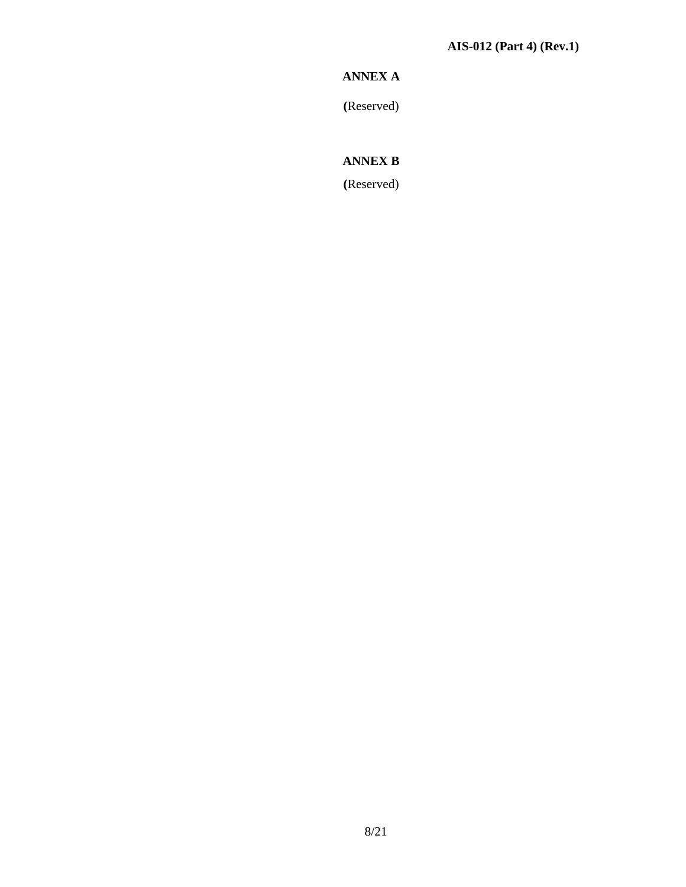# **ANNEX A**

**(**Reserved)

# **ANNEX B**

**(**Reserved)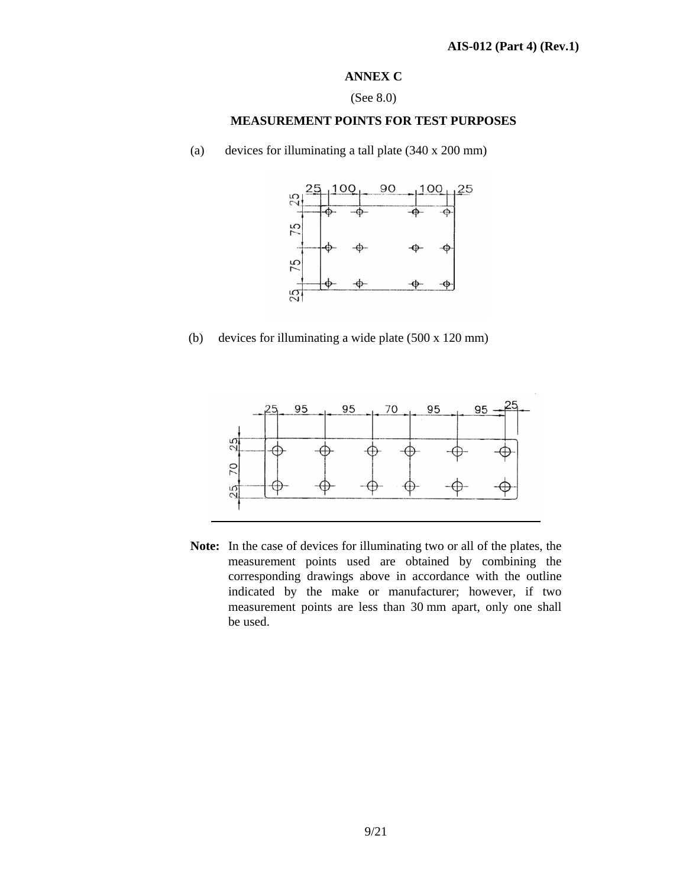# **ANNEX C**

#### (See 8.0)

# **MEASUREMENT POINTS FOR TEST PURPOSES**

(a) devices for illuminating a tall plate (340 x 200 mm)



 $(b)$ devices for illuminating a wide plate  $(500 \times 120 \text{ mm})$ 



**Note:** In the case of devices for illuminating two or all of the plates, the measurement points used are obtained by combining the corresponding drawings above in accordance with the outline indicated by the make or manufacturer; however, if two measurement points are less than 30 mm apart, only one shall be used.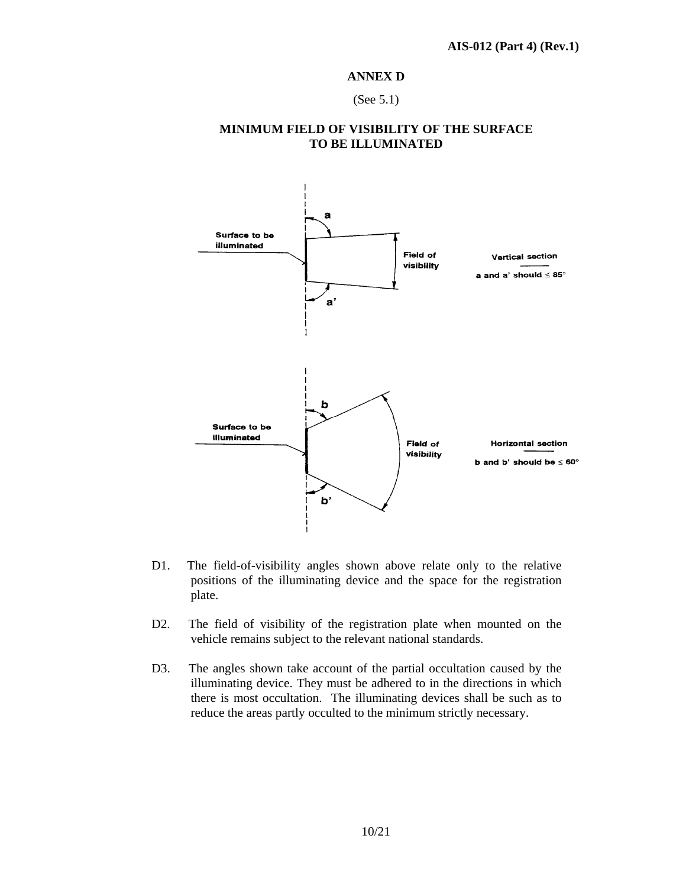#### **ANNEX D**

(See 5.1)

# **MINIMUM FIELD OF VISIBILITY OF THE SURFACE TO BE ILLUMINATED**



- D1. The field-of-visibility angles shown above relate only to the relative positions of the illuminating device and the space for the registration plate.
- D2. The field of visibility of the registration plate when mounted on the vehicle remains subject to the relevant national standards.
- D3. The angles shown take account of the partial occultation caused by the illuminating device. They must be adhered to in the directions in which there is most occultation. The illuminating devices shall be such as to reduce the areas partly occulted to the minimum strictly necessary.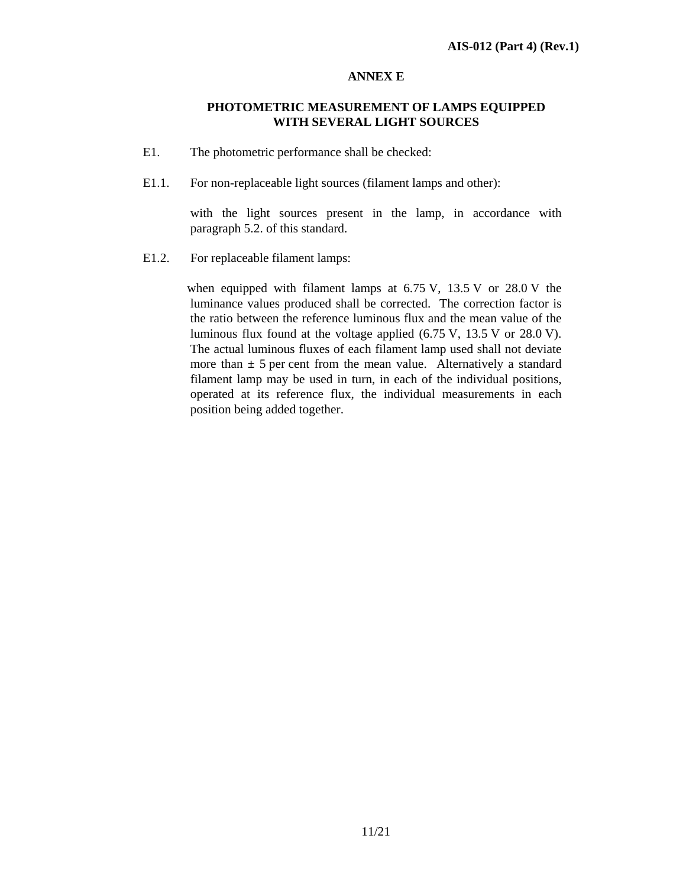# **ANNEX E**

# **PHOTOMETRIC MEASUREMENT OF LAMPS EQUIPPED WITH SEVERAL LIGHT SOURCES**

- E1. The photometric performance shall be checked:
- E1.1. For non-replaceable light sources (filament lamps and other):

with the light sources present in the lamp, in accordance with paragraph 5.2. of this standard.

E1.2. For replaceable filament lamps:

 when equipped with filament lamps at 6.75 V, 13.5 V or 28.0 V the luminance values produced shall be corrected. The correction factor is the ratio between the reference luminous flux and the mean value of the luminous flux found at the voltage applied (6.75 V, 13.5 V or 28.0 V). The actual luminous fluxes of each filament lamp used shall not deviate more than  $\pm$  5 per cent from the mean value. Alternatively a standard filament lamp may be used in turn, in each of the individual positions, operated at its reference flux, the individual measurements in each position being added together.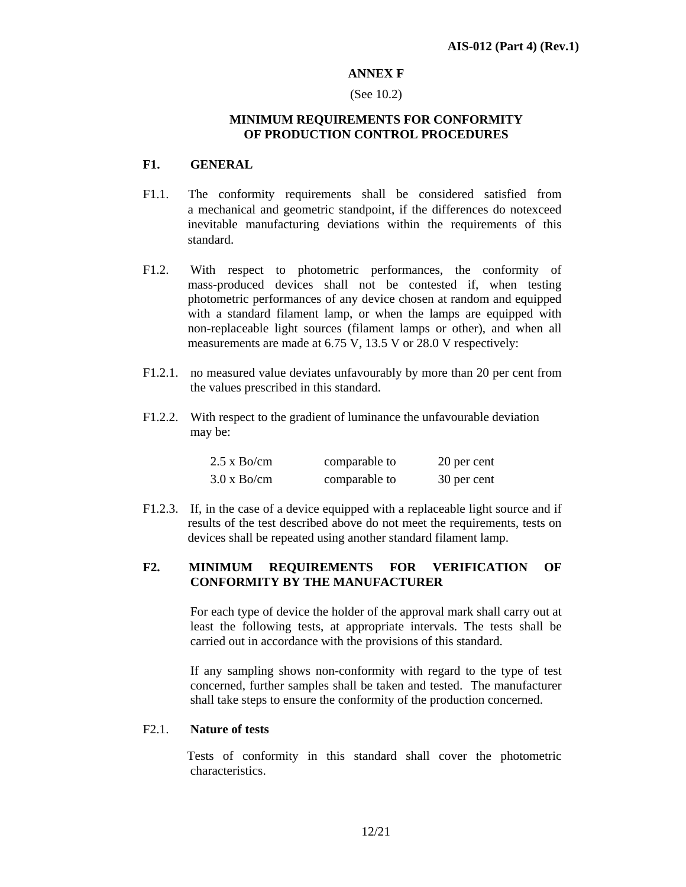# **ANNEX F**

#### (See 10.2)

#### **MINIMUM REQUIREMENTS FOR CONFORMITY OF PRODUCTION CONTROL PROCEDURES**

#### **F1. GENERAL**

- F1.1. The conformity requirements shall be considered satisfied from a mechanical and geometric standpoint, if the differences do notexceed inevitable manufacturing deviations within the requirements of this standard.
- F1.2. With respect to photometric performances, the conformity of mass-produced devices shall not be contested if, when testing photometric performances of any device chosen at random and equipped with a standard filament lamp, or when the lamps are equipped with non-replaceable light sources (filament lamps or other), and when all measurements are made at 6.75 V, 13.5 V or 28.0 V respectively:
- F1.2.1. no measured value deviates unfavourably by more than 20 per cent from the values prescribed in this standard.
- F1.2.2. With respect to the gradient of luminance the unfavourable deviation may be:

| $2.5 \times$ Bo/cm | comparable to | 20 per cent |
|--------------------|---------------|-------------|
| $3.0 \times$ Bo/cm | comparable to | 30 per cent |

F1.2.3. If, in the case of a device equipped with a replaceable light source and if results of the test described above do not meet the requirements, tests on devices shall be repeated using another standard filament lamp.

# **F2. MINIMUM REQUIREMENTS FOR VERIFICATION OF CONFORMITY BY THE MANUFACTURER**

 For each type of device the holder of the approval mark shall carry out at least the following tests, at appropriate intervals. The tests shall be carried out in accordance with the provisions of this standard.

 If any sampling shows non-conformity with regard to the type of test concerned, further samples shall be taken and tested. The manufacturer shall take steps to ensure the conformity of the production concerned.

#### F2.1. **Nature of tests**

 Tests of conformity in this standard shall cover the photometric characteristics.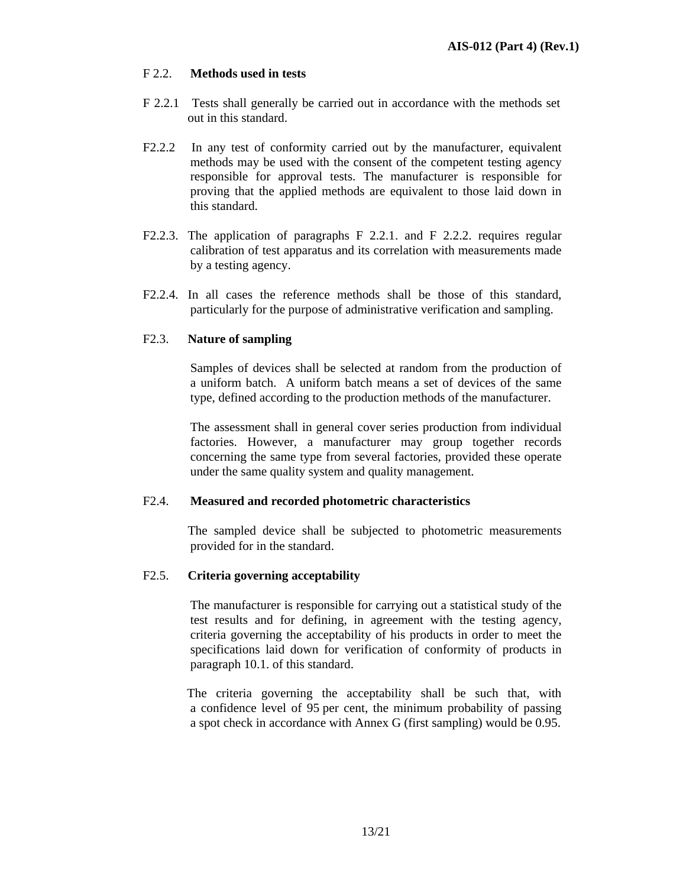# F 2.2. **Methods used in tests**

- F 2.2.1 Tests shall generally be carried out in accordance with the methods set out in this standard.
- F2.2.2 In any test of conformity carried out by the manufacturer, equivalent methods may be used with the consent of the competent testing agency responsible for approval tests. The manufacturer is responsible for proving that the applied methods are equivalent to those laid down in this standard.
- F2.2.3. The application of paragraphs F 2.2.1. and F 2.2.2. requires regular calibration of test apparatus and its correlation with measurements made by a testing agency.
- F2.2.4. In all cases the reference methods shall be those of this standard, particularly for the purpose of administrative verification and sampling.

#### F2.3. **Nature of sampling**

 Samples of devices shall be selected at random from the production of a uniform batch. A uniform batch means a set of devices of the same type, defined according to the production methods of the manufacturer.

 The assessment shall in general cover series production from individual factories. However, a manufacturer may group together records concerning the same type from several factories, provided these operate under the same quality system and quality management.

#### F2.4. **Measured and recorded photometric characteristics**

 The sampled device shall be subjected to photometric measurements provided for in the standard.

#### F2.5. **Criteria governing acceptability**

 The manufacturer is responsible for carrying out a statistical study of the test results and for defining, in agreement with the testing agency, criteria governing the acceptability of his products in order to meet the specifications laid down for verification of conformity of products in paragraph 10.1. of this standard.

 The criteria governing the acceptability shall be such that, with a confidence level of 95 per cent, the minimum probability of passing a spot check in accordance with Annex G (first sampling) would be 0.95.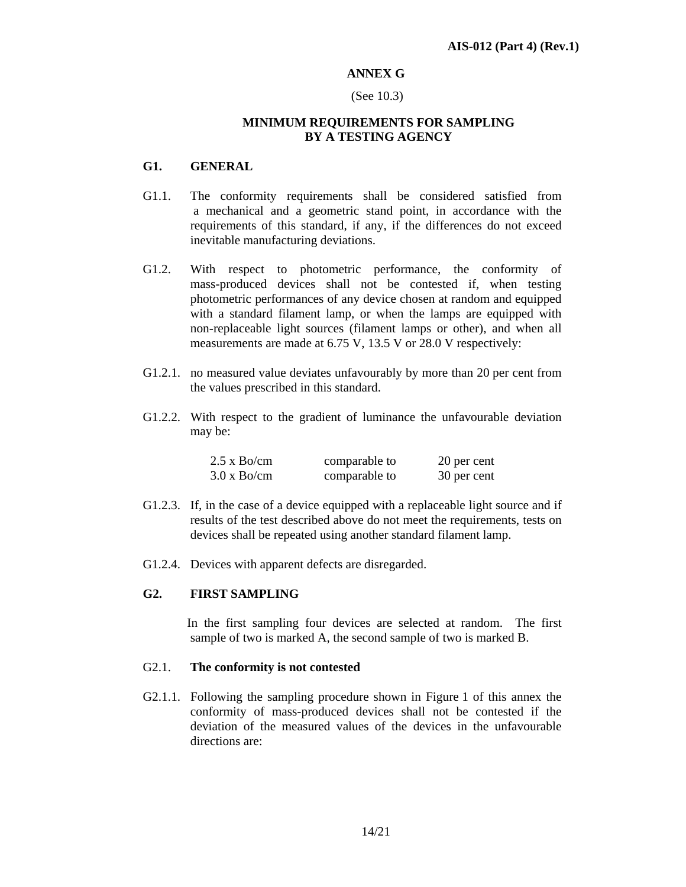# **ANNEX G**

#### (See 10.3)

#### **MINIMUM REQUIREMENTS FOR SAMPLING BY A TESTING AGENCY**

# **G1. GENERAL**

- G1.1. The conformity requirements shall be considered satisfied from a mechanical and a geometric stand point, in accordance with the requirements of this standard, if any, if the differences do not exceed inevitable manufacturing deviations.
- G1.2. With respect to photometric performance, the conformity of mass-produced devices shall not be contested if, when testing photometric performances of any device chosen at random and equipped with a standard filament lamp, or when the lamps are equipped with non-replaceable light sources (filament lamps or other), and when all measurements are made at 6.75 V, 13.5 V or 28.0 V respectively:
- G1.2.1. no measured value deviates unfavourably by more than 20 per cent from the values prescribed in this standard.
- G1.2.2. With respect to the gradient of luminance the unfavourable deviation may be:

| $2.5 \times$ Bo/cm | comparable to | 20 per cent |
|--------------------|---------------|-------------|
| $3.0 \times$ Bo/cm | comparable to | 30 per cent |

- G1.2.3. If, in the case of a device equipped with a replaceable light source and if results of the test described above do not meet the requirements, tests on devices shall be repeated using another standard filament lamp.
- G1.2.4. Devices with apparent defects are disregarded.

# **G2. FIRST SAMPLING**

 In the first sampling four devices are selected at random. The first sample of two is marked A, the second sample of two is marked B.

#### G2.1. **The conformity is not contested**

G2.1.1. Following the sampling procedure shown in Figure 1 of this annex the conformity of mass-produced devices shall not be contested if the deviation of the measured values of the devices in the unfavourable directions are: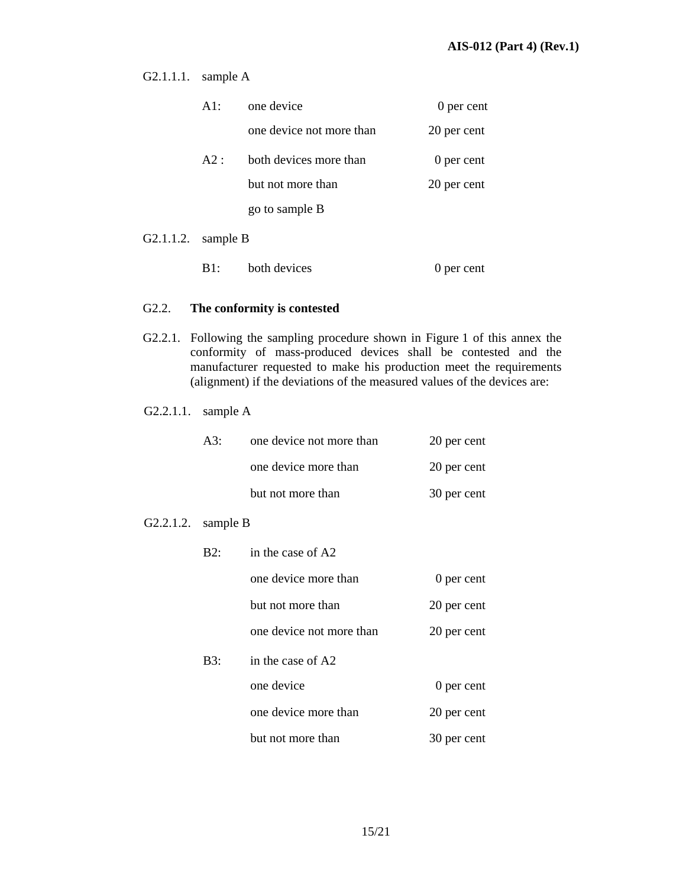G2.1.1.1. sample A

|                      | A1: | one device               | 0 per cent  |
|----------------------|-----|--------------------------|-------------|
|                      |     | one device not more than | 20 per cent |
|                      | A2: | both devices more than   | 0 per cent  |
|                      |     | but not more than        | 20 per cent |
|                      |     | go to sample B           |             |
| $\sim$ $\sim$ $\sim$ |     |                          |             |

G2.1.1.2. sample B

|  | both devices | 0 per cent |
|--|--------------|------------|
|--|--------------|------------|

# G2.2. **The conformity is contested**

G2.2.1. Following the sampling procedure shown in Figure 1 of this annex the conformity of mass-produced devices shall be contested and the manufacturer requested to make his production meet the requirements (alignment) if the deviations of the measured values of the devices are:

#### G2.2.1.1. sample A

| A3: | one device not more than | 20 per cent |
|-----|--------------------------|-------------|
|     | one device more than     | 20 per cent |
|     | but not more than        | 30 per cent |

#### G2.2.1.2. sample B

| B2: | in the case of A2        |             |
|-----|--------------------------|-------------|
|     | one device more than     | 0 per cent  |
|     | but not more than        | 20 per cent |
|     | one device not more than | 20 per cent |
| B3: | in the case of A2        |             |
|     | one device               | 0 per cent  |
|     | one device more than     | 20 per cent |
|     | but not more than        | 30 per cent |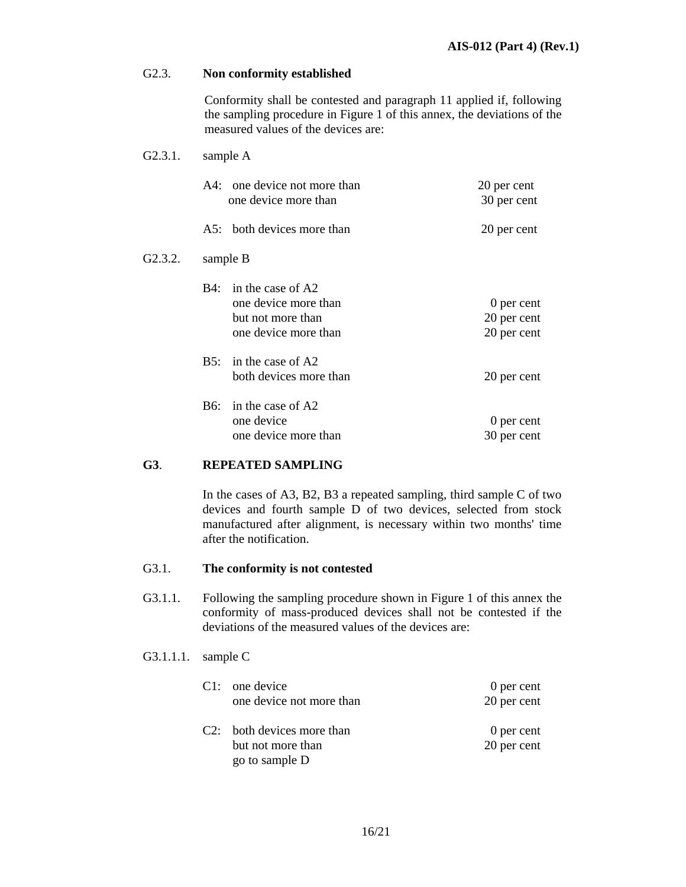#### G2.3. **Non conformity established**

Conformity shall be contested and paragraph 11 applied if, following the sampling procedure in Figure 1 of this annex, the deviations of the measured values of the devices are:

#### G2.3.1. sample A

|         |     | A4: one device not more than<br>one device more than                                   | 20 per cent<br>30 per cent               |
|---------|-----|----------------------------------------------------------------------------------------|------------------------------------------|
|         |     | A5: both devices more than                                                             | 20 per cent                              |
| G2.3.2. |     | sample B                                                                               |                                          |
|         | B4: | in the case of A2<br>one device more than<br>but not more than<br>one device more than | 0 per cent<br>20 per cent<br>20 per cent |
|         |     | B5: in the case of $A2$<br>both devices more than                                      | 20 per cent                              |
|         | B6: | in the case of A2<br>one device<br>one device more than                                | 0 per cent<br>30 per cent                |

# **G3**. **REPEATED SAMPLING**

In the cases of A3, B2, B3 a repeated sampling, third sample C of two devices and fourth sample D of two devices, selected from stock manufactured after alignment, is necessary within two months' time after the notification.

#### G3.1. **The conformity is not contested**

- G3.1.1. Following the sampling procedure shown in Figure 1 of this annex the conformity of mass-produced devices shall not be contested if the deviations of the measured values of the devices are:
- G3.1.1.1. sample C

| $C1:$ one device<br>one device not more than                      | 0 per cent<br>20 per cent |
|-------------------------------------------------------------------|---------------------------|
| C2: both devices more than<br>but not more than<br>go to sample D | 0 per cent<br>20 per cent |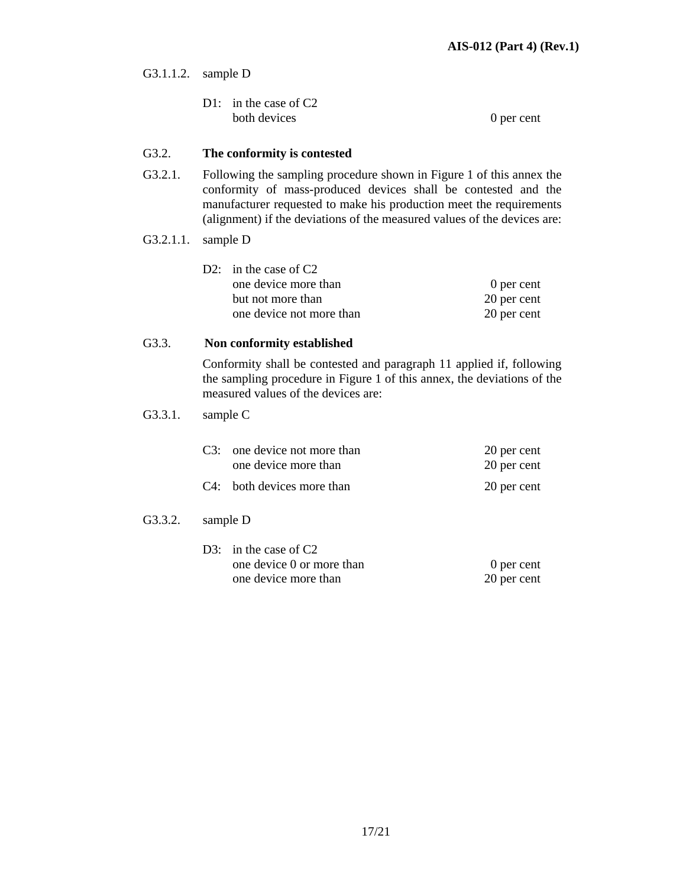G3.1.1.2. sample D

| D1: in the case of $C2$ |            |
|-------------------------|------------|
| both devices            | 0 per cent |

#### G3.2. **The conformity is contested**

- G3.2.1. Following the sampling procedure shown in Figure 1 of this annex the conformity of mass-produced devices shall be contested and the manufacturer requested to make his production meet the requirements (alignment) if the deviations of the measured values of the devices are:
- G3.2.1.1. sample D

| D2: in the case of $C2$  |             |
|--------------------------|-------------|
| one device more than     | 0 per cent  |
| but not more than        | 20 per cent |
| one device not more than | 20 per cent |

#### G3.3. **Non conformity established**

Conformity shall be contested and paragraph 11 applied if, following the sampling procedure in Figure 1 of this annex, the deviations of the measured values of the devices are:

#### G3.3.1. sample C

| C3: one device not more than | 20 per cent |
|------------------------------|-------------|
| one device more than         | 20 per cent |
| C4: both devices more than   | 20 per cent |

#### G3.3.2. sample D

| D3: in the case of $C2$   |             |
|---------------------------|-------------|
| one device 0 or more than | 0 per cent  |
| one device more than      | 20 per cent |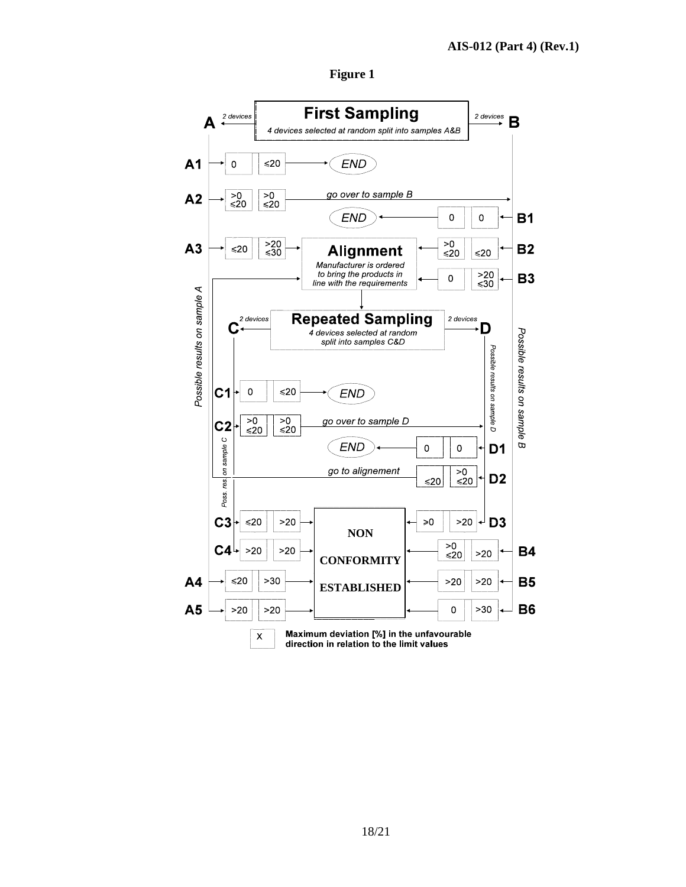

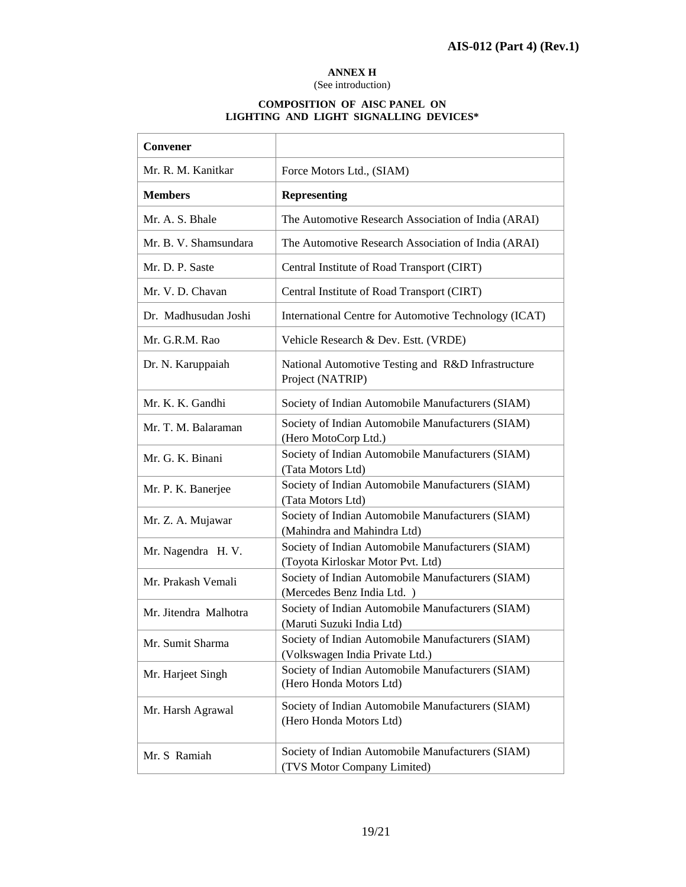4

#### **ANNEX H**

#### (See introduction)

#### **COMPOSITION OF AISC PANEL ON LIGHTING AND LIGHT SIGNALLING DEVICES\***

 $\overline{\phantom{a}}$ 

| Convener              |                                                                                        |
|-----------------------|----------------------------------------------------------------------------------------|
| Mr. R. M. Kanitkar    | Force Motors Ltd., (SIAM)                                                              |
| <b>Members</b>        | <b>Representing</b>                                                                    |
| Mr. A. S. Bhale       | The Automotive Research Association of India (ARAI)                                    |
| Mr. B. V. Shamsundara | The Automotive Research Association of India (ARAI)                                    |
| Mr. D. P. Saste       | Central Institute of Road Transport (CIRT)                                             |
| Mr. V. D. Chavan      | Central Institute of Road Transport (CIRT)                                             |
| Dr. Madhusudan Joshi  | International Centre for Automotive Technology (ICAT)                                  |
| Mr. G.R.M. Rao        | Vehicle Research & Dev. Estt. (VRDE)                                                   |
| Dr. N. Karuppaiah     | National Automotive Testing and R&D Infrastructure<br>Project (NATRIP)                 |
| Mr. K. K. Gandhi      | Society of Indian Automobile Manufacturers (SIAM)                                      |
| Mr. T. M. Balaraman   | Society of Indian Automobile Manufacturers (SIAM)<br>(Hero MotoCorp Ltd.)              |
| Mr. G. K. Binani      | Society of Indian Automobile Manufacturers (SIAM)<br>(Tata Motors Ltd)                 |
| Mr. P. K. Banerjee    | Society of Indian Automobile Manufacturers (SIAM)<br>(Tata Motors Ltd)                 |
| Mr. Z. A. Mujawar     | Society of Indian Automobile Manufacturers (SIAM)<br>(Mahindra and Mahindra Ltd)       |
| Mr. Nagendra H. V.    | Society of Indian Automobile Manufacturers (SIAM)<br>(Toyota Kirloskar Motor Pvt. Ltd) |
| Mr. Prakash Vemali    | Society of Indian Automobile Manufacturers (SIAM)<br>(Mercedes Benz India Ltd.)        |
| Mr. Jitendra Malhotra | Society of Indian Automobile Manufacturers (SIAM)<br>(Maruti Suzuki India Ltd)         |
| Mr. Sumit Sharma      | Society of Indian Automobile Manufacturers (SIAM)<br>(Volkswagen India Private Ltd.)   |
| Mr. Harjeet Singh     | Society of Indian Automobile Manufacturers (SIAM)<br>(Hero Honda Motors Ltd)           |
| Mr. Harsh Agrawal     | Society of Indian Automobile Manufacturers (SIAM)<br>(Hero Honda Motors Ltd)           |
| Mr. S Ramiah          | Society of Indian Automobile Manufacturers (SIAM)<br>(TVS Motor Company Limited)       |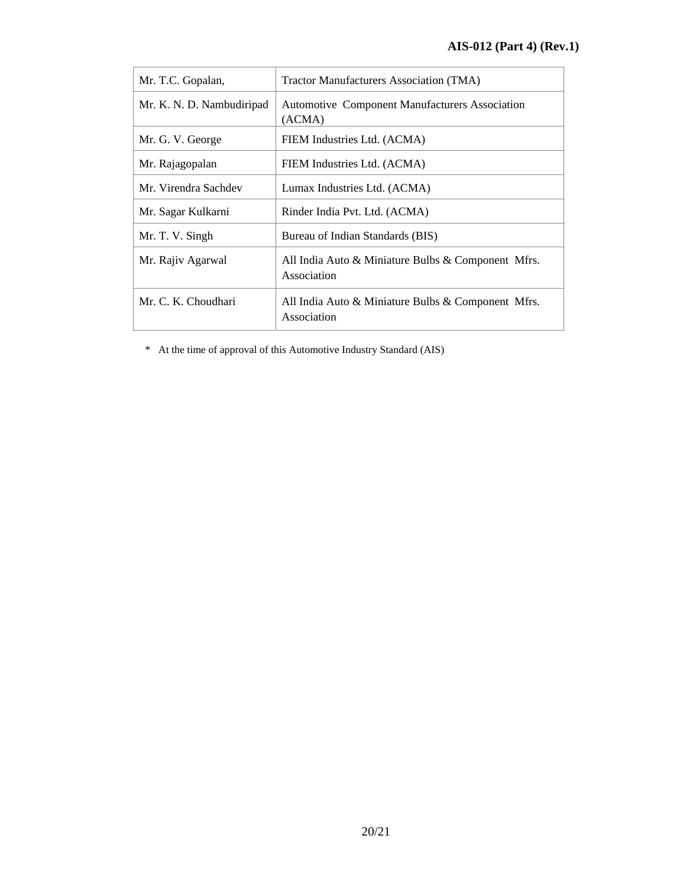| Mr. T.C. Gopalan,         | Tractor Manufacturers Association (TMA)                           |
|---------------------------|-------------------------------------------------------------------|
| Mr. K. N. D. Nambudiripad | <b>Automotive Component Manufacturers Association</b><br>(ACMA)   |
| Mr. G. V. George          | FIEM Industries Ltd. (ACMA)                                       |
| Mr. Rajagopalan           | FIEM Industries Ltd. (ACMA)                                       |
| Mr. Virendra Sachdev      | Lumax Industries Ltd. (ACMA)                                      |
| Mr. Sagar Kulkarni        | Rinder India Pvt. Ltd. (ACMA)                                     |
| Mr. T. V. Singh           | Bureau of Indian Standards (BIS)                                  |
| Mr. Rajiv Agarwal         | All India Auto & Miniature Bulbs & Component Mfrs.<br>Association |
| Mr. C. K. Choudhari       | All India Auto & Miniature Bulbs & Component Mfrs.<br>Association |

\* At the time of approval of this Automotive Industry Standard (AIS)